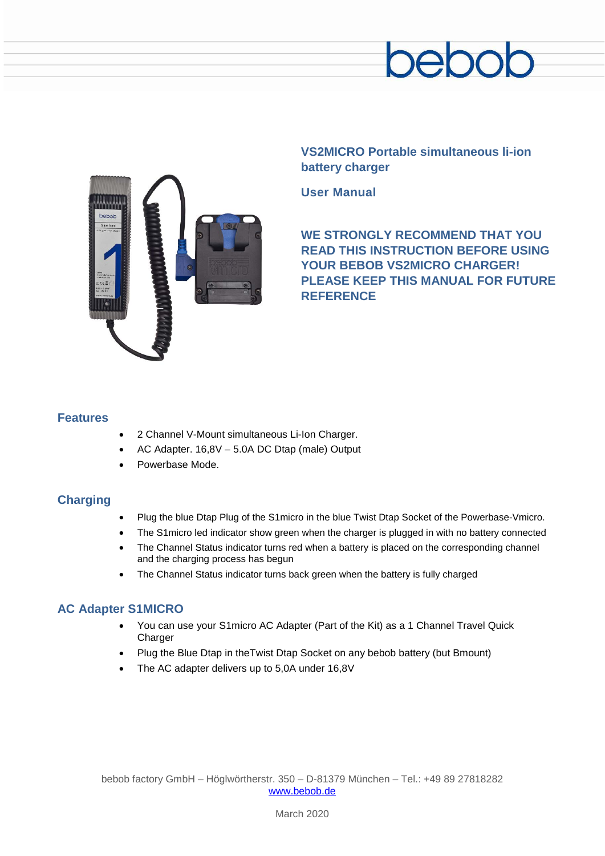



**VS2MICRO Portable simultaneous li-ion battery charger**

**User Manual**

**WE STRONGLY RECOMMEND THAT YOU READ THIS INSTRUCTION BEFORE USING YOUR BEBOB VS2MICRO CHARGER! PLEASE KEEP THIS MANUAL FOR FUTURE REFERENCE**

### **Features**

- 2 Channel V-Mount simultaneous Li-Ion Charger.
- AC Adapter. 16,8V 5.0A DC Dtap (male) Output
- Powerbase Mode.

## **Charging**

- Plug the blue Dtap Plug of the S1micro in the blue Twist Dtap Socket of the Powerbase-Vmicro.
- The S1 micro led indicator show green when the charger is plugged in with no battery connected
- The Channel Status indicator turns red when a battery is placed on the corresponding channel and the charging process has begun
- The Channel Status indicator turns back green when the battery is fully charged

# **AC Adapter S1MICRO**

- You can use your S1micro AC Adapter (Part of the Kit) as a 1 Channel Travel Quick **Charger**
- Plug the Blue Dtap in theTwist Dtap Socket on any bebob battery (but Bmount)
- The AC adapter delivers up to 5,0A under 16,8V